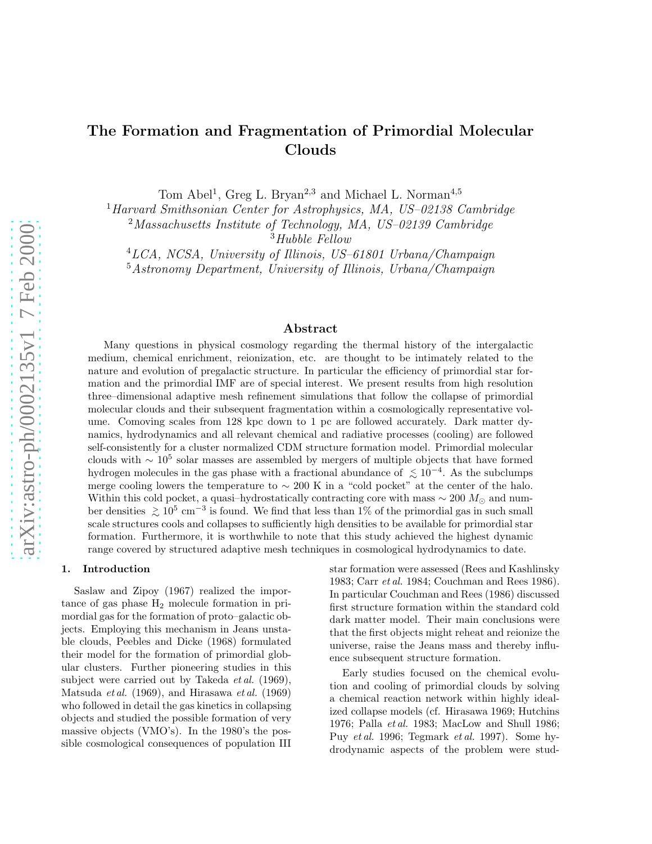# The Formation and Fragmentation of Primordial Molecular Clouds

Tom Abel<sup>1</sup>, Greg L. Bryan<sup>2,3</sup> and Michael L. Norman<sup>4,5</sup>

<sup>1</sup>Harvard Smithsonian Center for Astrophysics, MA, US-02138 Cambridge

<sup>2</sup>Massachusetts Institute of Technology, MA, US–02139 Cambridge

 $3Hubble$  Fellow

<sup>5</sup>Astronomy Department, University of Illinois, Urbana/Champaign

## Abstract

Many questions in physical cosmology regarding the thermal history of the intergalactic medium, chemical enrichment, reionization, etc. are thought to be intimately related to the nature and evolution of pregalactic structure. In particular the efficiency of primordial star formation and the primordial IMF are of special interest. We present results from high resolution three–dimensional adaptive mesh refinement simulations that follow the collapse of primordial molecular clouds and their subsequent fragmentation within a cosmologically representative volume. Comoving scales from 128 kpc down to 1 pc are followed accurately. Dark matter dynamics, hydrodynamics and all relevant chemical and radiative processes (cooling) are followed self-consistently for a cluster normalized CDM structure formation model. Primordial molecular clouds with  $\sim 10^5$  solar masses are assembled by mergers of multiple objects that have formed hydrogen molecules in the gas phase with a fractional abundance of  $\lesssim 10^{-4}$ . As the subclumps<br>merge sociing lowers the temperature to  $\lesssim 200$  K in a "sald posite" at the senter of the halo merge cooling lowers the temperature to  $\sim 200 \text{ K}$  in a "cold pocket" at the center of the halo. Within this cold pocket, a quasi–hydrostatically contracting core with mass  $\sim 200 M_{\odot}$  and number densities  $\gtrsim 10^5$  cm<sup>-3</sup> is found. We find that less than 1% of the primordial gas in such small<br>scele structures each and collapses to sufficiently high densities to be available for primordial star scale structures cools and collapses to sufficiently high densities to be available for primordial star formation. Furthermore, it is worthwhile to note that this study achieved the highest dynamic range covered by structured adaptive mesh techniques in cosmological hydrodynamics to date.

#### 1. Introduction

Saslaw and Zipoy (1967) realized the importance of gas phase  $H_2$  molecule formation in primordial gas for the formation of proto–galactic objects. Employing this mechanism in Jeans unstable clouds, Peebles and Dicke (1968) formulated their model for the formation of primordial globular clusters. Further pioneering studies in this subject were carried out by Takeda  $et al. (1969)$ , Matsuda *et al.* (1969), and Hirasawa *et al.* (1969) who followed in detail the gas kinetics in collapsing objects and studied the possible formation of very massive objects (VMO's). In the 1980's the possible cosmological consequences of population III star formation were assessed (Rees and Kashlinsky 1983; Carr et al. 1984; Couchman and Rees 1986). In particular Couchman and Rees (1986) discussed first structure formation within the standard cold dark matter model. Their main conclusions were that the first objects might reheat and reionize the universe, raise the Jeans mass and thereby influence subsequent structure formation.

Early studies focused on the chemical evolution and cooling of primordial clouds by solving a chemical reaction network within highly idealized collapse models (cf. Hirasawa 1969; Hutchins 1976; Palla et al. 1983; MacLow and Shull 1986; Puy et al. 1996; Tegmark et al. 1997). Some hydrodynamic aspects of the problem were stud-

<sup>4</sup>LCA, NCSA, University of Illinois, US–61801 Urbana/Champaign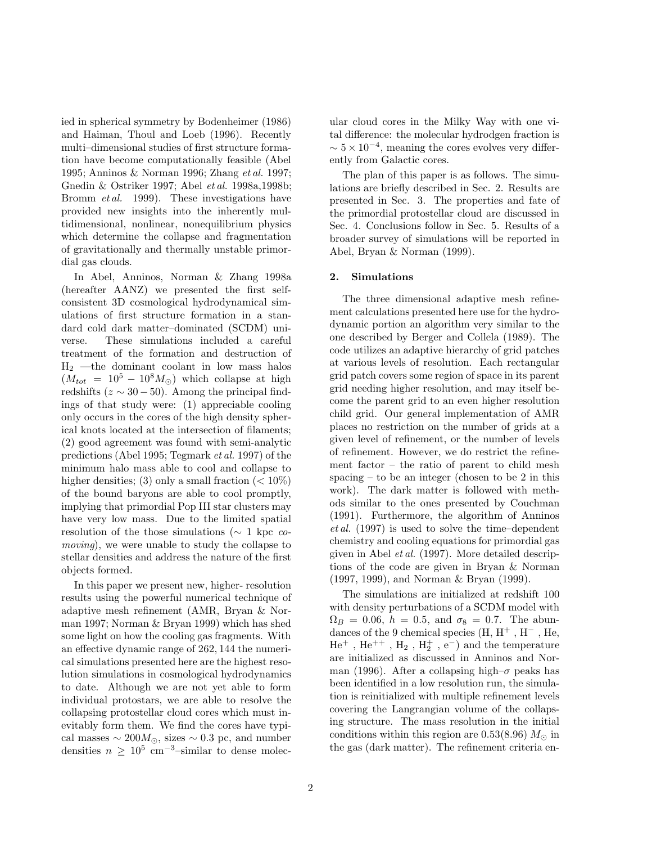ied in spherical symmetry by Bodenheimer (1986) and Haiman, Thoul and Loeb (1996). Recently multi–dimensional studies of first structure formation have become computationally feasible (Abel 1995; Anninos & Norman 1996; Zhang et al. 1997; Gnedin & Ostriker 1997; Abel et al. 1998a,1998b; Bromm et al. 1999). These investigations have provided new insights into the inherently multidimensional, nonlinear, nonequilibrium physics which determine the collapse and fragmentation of gravitationally and thermally unstable primordial gas clouds.

In Abel, Anninos, Norman & Zhang 1998a (hereafter AANZ) we presented the first selfconsistent 3D cosmological hydrodynamical simulations of first structure formation in a standard cold dark matter–dominated (SCDM) universe. These simulations included a careful treatment of the formation and destruction of  $H_2$  —the dominant coolant in low mass halos  $(M_{tot} = 10^5 - 10^8 M_{\odot})$  which collapse at high redshifts ( $z \sim 30 - 50$ ). Among the principal findings of that study were: (1) appreciable cooling only occurs in the cores of the high density spherical knots located at the intersection of filaments; (2) good agreement was found with semi-analytic predictions (Abel 1995; Tegmark et al. 1997) of the minimum halo mass able to cool and collapse to higher densities; (3) only a small fraction  $(< 10\%)$ of the bound baryons are able to cool promptly, implying that primordial Pop III star clusters may have very low mass. Due to the limited spatial resolution of the those simulations ( $\sim$  1 kpc comoving), we were unable to study the collapse to stellar densities and address the nature of the first objects formed.

In this paper we present new, higher- resolution results using the powerful numerical technique of adaptive mesh refinement (AMR, Bryan & Norman 1997; Norman & Bryan 1999) which has shed some light on how the cooling gas fragments. With an effective dynamic range of 262, 144 the numerical simulations presented here are the highest resolution simulations in cosmological hydrodynamics to date. Although we are not yet able to form individual protostars, we are able to resolve the collapsing protostellar cloud cores which must inevitably form them. We find the cores have typical masses  $\sim 200 M_{\odot}$ , sizes  $\sim 0.3$  pc, and number densities  $n \geq 10^5$  cm<sup>-3</sup>-similar to dense molecular cloud cores in the Milky Way with one vital difference: the molecular hydrodgen fraction is  $\sim 5 \times 10^{-4}$ , meaning the cores evolves very differently from Galactic cores.

The plan of this paper is as follows. The simulations are briefly described in Sec. 2. Results are presented in Sec. 3. The properties and fate of the primordial protostellar cloud are discussed in Sec. 4. Conclusions follow in Sec. 5. Results of a broader survey of simulations will be reported in Abel, Bryan & Norman (1999).

#### 2. Simulations

The three dimensional adaptive mesh refinement calculations presented here use for the hydrodynamic portion an algorithm very similar to the one described by Berger and Collela (1989). The code utilizes an adaptive hierarchy of grid patches at various levels of resolution. Each rectangular grid patch covers some region of space in its parent grid needing higher resolution, and may itself become the parent grid to an even higher resolution child grid. Our general implementation of AMR places no restriction on the number of grids at a given level of refinement, or the number of levels of refinement. However, we do restrict the refinement factor – the ratio of parent to child mesh spacing – to be an integer (chosen to be 2 in this work). The dark matter is followed with methods similar to the ones presented by Couchman (1991). Furthermore, the algorithm of Anninos et al. (1997) is used to solve the time–dependent chemistry and cooling equations for primordial gas given in Abel *et al.* (1997). More detailed descriptions of the code are given in Bryan & Norman (1997, 1999), and Norman & Bryan (1999).

The simulations are initialized at redshift 100 with density perturbations of a SCDM model with  $\Omega_B = 0.06, h = 0.5, \text{ and } \sigma_8 = 0.7.$  The abundances of the 9 chemical species (H,  $\rm H^+$ ,  $\rm H^-$ , He,  ${\rm He^+}$  ,  ${\rm He^{++}}$  ,  ${\rm H_2}$  ,  ${\rm H_2^+}$  , e<sup>-</sup>) and the temperature are initialized as discussed in Anninos and Norman (1996). After a collapsing high– $\sigma$  peaks has been identified in a low resolution run, the simulation is reinitialized with multiple refinement levels covering the Langrangian volume of the collapsing structure. The mass resolution in the initial conditions within this region are 0.53(8.96)  $M_{\odot}$  in the gas (dark matter). The refinement criteria en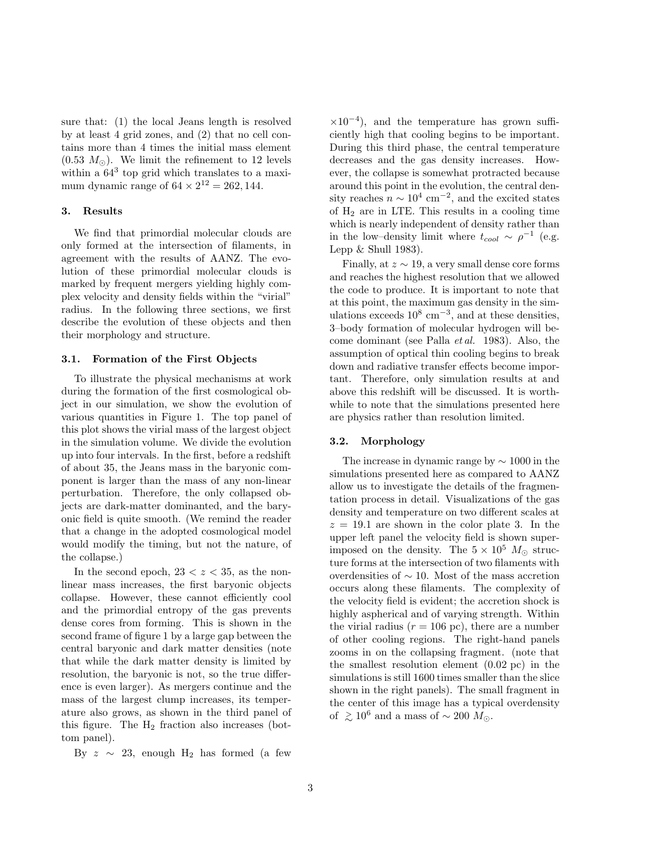sure that: (1) the local Jeans length is resolved by at least 4 grid zones, and (2) that no cell contains more than 4 times the initial mass element  $(0.53 \, M_{\odot})$ . We limit the refinement to 12 levels within a  $64^3$  top grid which translates to a maximum dynamic range of  $64 \times 2^{12} = 262, 144$ .

### 3. Results

We find that primordial molecular clouds are only formed at the intersection of filaments, in agreement with the results of AANZ. The evolution of these primordial molecular clouds is marked by frequent mergers yielding highly complex velocity and density fields within the "virial" radius. In the following three sections, we first describe the evolution of these objects and then their morphology and structure.

#### 3.1. Formation of the First Objects

To illustrate the physical mechanisms at work during the formation of the first cosmological object in our simulation, we show the evolution of various quantities in Figure 1. The top panel of this plot shows the virial mass of the largest object in the simulation volume. We divide the evolution up into four intervals. In the first, before a redshift of about 35, the Jeans mass in the baryonic component is larger than the mass of any non-linear perturbation. Therefore, the only collapsed objects are dark-matter dominanted, and the baryonic field is quite smooth. (We remind the reader that a change in the adopted cosmological model would modify the timing, but not the nature, of the collapse.)

In the second epoch,  $23 < z < 35$ , as the nonlinear mass increases, the first baryonic objects collapse. However, these cannot efficiently cool and the primordial entropy of the gas prevents dense cores from forming. This is shown in the second frame of figure 1 by a large gap between the central baryonic and dark matter densities (note that while the dark matter density is limited by resolution, the baryonic is not, so the true difference is even larger). As mergers continue and the mass of the largest clump increases, its temperature also grows, as shown in the third panel of this figure. The  $H_2$  fraction also increases (bottom panel).

By  $z \sim 23$ , enough H<sub>2</sub> has formed (a few

 $\times10^{-4}$ ), and the temperature has grown sufficiently high that cooling begins to be important. During this third phase, the central temperature decreases and the gas density increases. However, the collapse is somewhat protracted because around this point in the evolution, the central density reaches  $n \sim 10^4$  cm<sup>-2</sup>, and the excited states of  $H_2$  are in LTE. This results in a cooling time which is nearly independent of density rather than in the low–density limit where  $t_{cool} \sim \rho^{-1}$  (e.g. Lepp  $&$  Shull 1983).

Finally, at  $z \sim 19$ , a very small dense core forms and reaches the highest resolution that we allowed the code to produce. It is important to note that at this point, the maximum gas density in the simulations exceeds  $10^8 \text{ cm}^{-3}$ , and at these densities, 3–body formation of molecular hydrogen will become dominant (see Palla et al. 1983). Also, the assumption of optical thin cooling begins to break down and radiative transfer effects become important. Therefore, only simulation results at and above this redshift will be discussed. It is worthwhile to note that the simulations presented here are physics rather than resolution limited.

#### 3.2. Morphology

The increase in dynamic range by ∼ 1000 in the simulations presented here as compared to AANZ allow us to investigate the details of the fragmentation process in detail. Visualizations of the gas density and temperature on two different scales at  $z = 19.1$  are shown in the color plate 3. In the upper left panel the velocity field is shown superimposed on the density. The  $5 \times 10^5$   $M_{\odot}$  structure forms at the intersection of two filaments with overdensities of ∼ 10. Most of the mass accretion occurs along these filaments. The complexity of the velocity field is evident; the accretion shock is highly aspherical and of varying strength. Within the virial radius  $(r = 106 \text{ pc})$ , there are a number of other cooling regions. The right-hand panels zooms in on the collapsing fragment. (note that the smallest resolution element (0.02 pc) in the simulations is still 1600 times smaller than the slice shown in the right panels). The small fragment in the center of this image has a typical overdensity of  $\gtrsim 10^6$  and a mass of ~ 200  $M_{\odot}$ .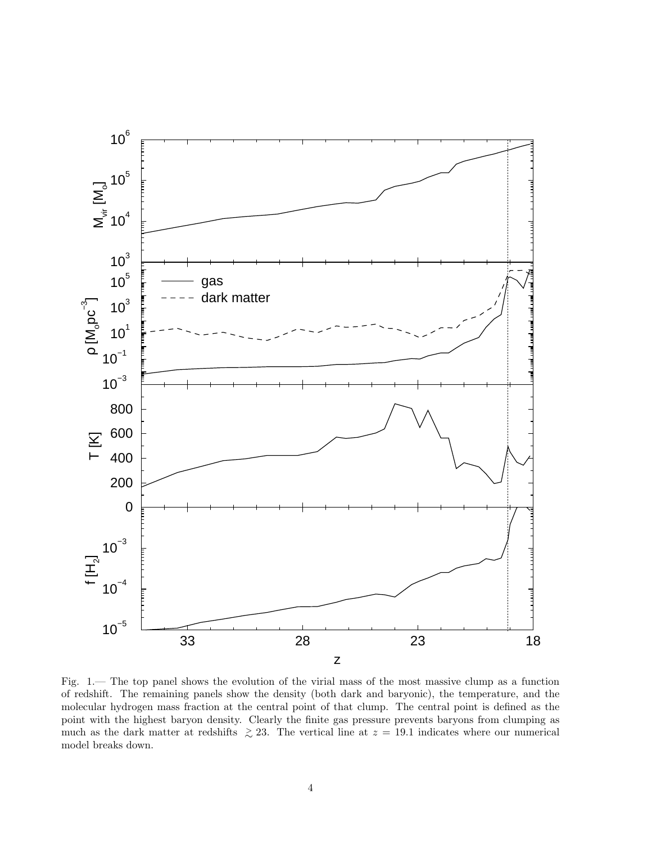

Fig. 1.— The top panel shows the evolution of the virial mass of the most massive clump as a function of redshift. The remaining panels show the density (both dark and baryonic), the temperature, and the molecular hydrogen mass fraction at the central point of that clump. The central point is defined as the point with the highest baryon density. Clearly the finite gas pressure prevents baryons from clumping as much as the dark matter at redshifts  $\geq$  23. The vertical line at  $z = 19.1$  indicates where our numerical model breaks down.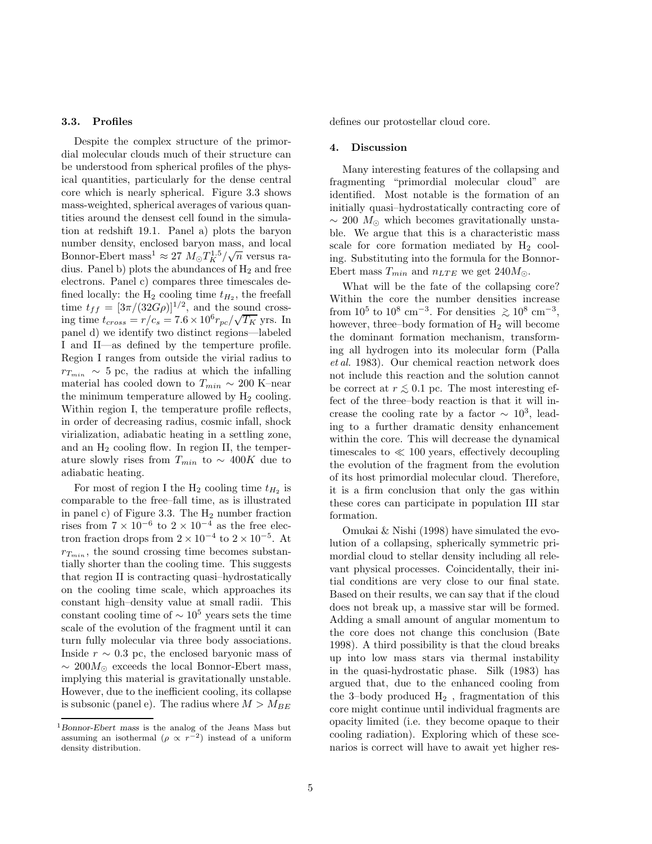#### 3.3. Profiles

Despite the complex structure of the primordial molecular clouds much of their structure can be understood from spherical profiles of the physical quantities, particularly for the dense central core which is nearly spherical. Figure 3.3 shows mass-weighted, spherical averages of various quantities around the densest cell found in the simulation at redshift 19.1. Panel a) plots the baryon number density, enclosed baryon mass, and local Bonnor-Ebert mass<sup>1</sup>  $\approx 27 M_{\odot} T_K^{1.5}/\sqrt{n}$  versus radius. Panel b) plots the abundances of  $H_2$  and free electrons. Panel c) compares three timescales defined locally: the  $H_2$  cooling time  $t_{H_2}$ , the freefall time  $t_{ff} = [3\pi/(32G\rho)]^{1/2}$ , and the sound crossing time  $t_{cross} = r/c_s = 7.6 \times 10^6 r_{pc} / \sqrt{T_K}$  yrs. In panel d) we identify two distinct regions—labeled I and II—as defined by the temperture profile. Region I ranges from outside the virial radius to  $r_{T_{min}} \sim 5$  pc, the radius at which the infalling material has cooled down to  $T_{min} \sim 200$  K–near the minimum temperature allowed by  $H_2$  cooling. Within region I, the temperature profile reflects, in order of decreasing radius, cosmic infall, shock virialization, adiabatic heating in a settling zone, and an  $H_2$  cooling flow. In region II, the temperature slowly rises from  $T_{min}$  to ~ 400K due to adiabatic heating.

For most of region I the  $H_2$  cooling time  $t_{H_2}$  is comparable to the free–fall time, as is illustrated in panel c) of Figure 3.3. The  $H_2$  number fraction rises from  $7 \times 10^{-6}$  to  $2 \times 10^{-4}$  as the free electron fraction drops from  $2 \times 10^{-4}$  to  $2 \times 10^{-5}$ . At  $r_{T_{min}}$ , the sound crossing time becomes substantially shorter than the cooling time. This suggests that region II is contracting quasi–hydrostatically on the cooling time scale, which approaches its constant high–density value at small radii. This constant cooling time of  $\sim 10^5$  years sets the time scale of the evolution of the fragment until it can turn fully molecular via three body associations. Inside  $r \sim 0.3$  pc, the enclosed baryonic mass of  $\sim 200 M_{\odot}$  exceeds the local Bonnor-Ebert mass, implying this material is gravitationally unstable. However, due to the inefficient cooling, its collapse is subsonic (panel e). The radius where  $M > M_{BE}$ 

defines our protostellar cloud core.

#### 4. Discussion

Many interesting features of the collapsing and fragmenting "primordial molecular cloud" are identified. Most notable is the formation of an initially quasi–hydrostatically contracting core of  $\sim$  200  $M_{\odot}$  which becomes gravitationally unstable. We argue that this is a characteristic mass scale for core formation mediated by  $H_2$  cooling. Substituting into the formula for the Bonnor-Ebert mass  $T_{min}$  and  $n_{LTE}$  we get  $240M_{\odot}$ .

What will be the fate of the collapsing core? Within the core the number densities increase from  $10^5$  to  $10^8$  cm<sup>-3</sup>. For densities  $\gtrsim 10^8$  cm<sup>-3</sup>,<br>however three hady formation of H will become however, three–body formation of  $H_2$  will become the dominant formation mechanism, transforming all hydrogen into its molecular form (Palla et al. 1983). Our chemical reaction network does not include this reaction and the solution cannot be correct at  $r \lesssim 0.1$  pc. The most interesting effect of the three–body reaction is that it will increase the cooling rate by a factor  $\sim 10^3$ , leading to a further dramatic density enhancement within the core. This will decrease the dynamical timescales to  $\ll 100$  years, effectively decoupling the evolution of the fragment from the evolution of its host primordial molecular cloud. Therefore, it is a firm conclusion that only the gas within these cores can participate in population III star formation.

Omukai & Nishi (1998) have simulated the evolution of a collapsing, spherically symmetric primordial cloud to stellar density including all relevant physical processes. Coincidentally, their initial conditions are very close to our final state. Based on their results, we can say that if the cloud does not break up, a massive star will be formed. Adding a small amount of angular momentum to the core does not change this conclusion (Bate 1998). A third possibility is that the cloud breaks up into low mass stars via thermal instability in the quasi-hydrostatic phase. Silk (1983) has argued that, due to the enhanced cooling from the 3–body produced  $H_2$ , fragmentation of this core might continue until individual fragments are opacity limited (i.e. they become opaque to their cooling radiation). Exploring which of these scenarios is correct will have to await yet higher res-

<sup>1</sup>Bonnor-Ebert mass is the analog of the Jeans Mass but assuming an isothermal  $(\rho \propto r^{-2})$  instead of a uniform density distribution.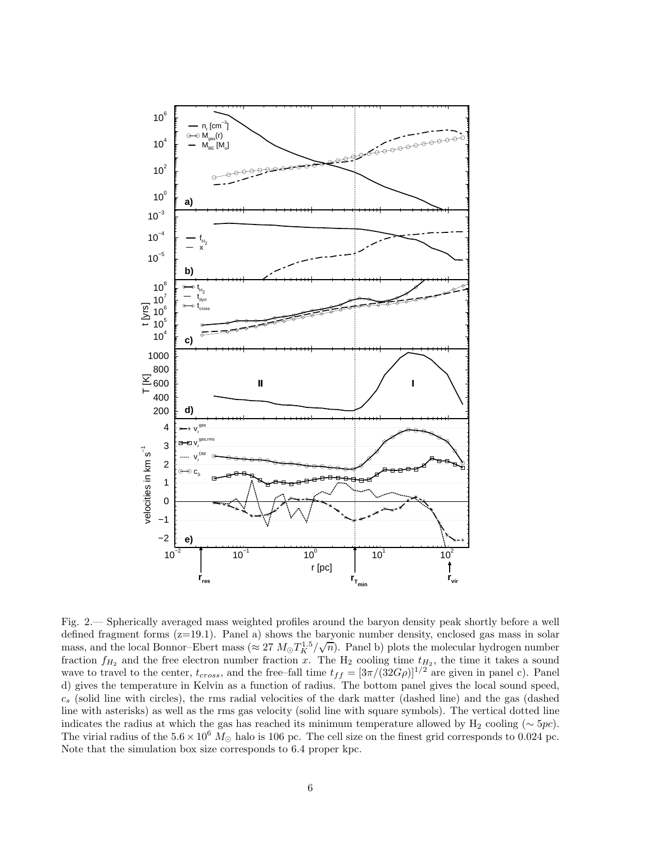

Fig. 2.— Spherically averaged mass weighted profiles around the baryon density peak shortly before a well defined fragment forms  $(z=19.1)$ . Panel a) shows the baryonic number density, enclosed gas mass in solar mass, and the local Bonnor–Ebert mass ( $\approx 27 M_{\odot} T_K^{1.5} / \sqrt{n}$ ). Panel b) plots the molecular hydrogen number fraction  $f_{H_2}$  and the free electron number fraction x. The  $H_2$  cooling time  $t_{H_2}$ , the time it takes a sound wave to travel to the center,  $t_{cross}$ , and the free–fall time  $t_{ff} = [3\pi/(32G\rho)]^{1/2}$  are given in panel c). Panel d) gives the temperature in Kelvin as a function of radius. The bottom panel gives the local sound speed,  $c_s$  (solid line with circles), the rms radial velocities of the dark matter (dashed line) and the gas (dashed line with asterisks) as well as the rms gas velocity (solid line with square symbols). The vertical dotted line indicates the radius at which the gas has reached its minimum temperature allowed by H<sub>2</sub> cooling ( $\sim 5pc$ ). The virial radius of the  $5.6 \times 10^6$  M<sub>☉</sub> halo is 106 pc. The cell size on the finest grid corresponds to 0.024 pc. Note that the simulation box size corresponds to 6.4 proper kpc.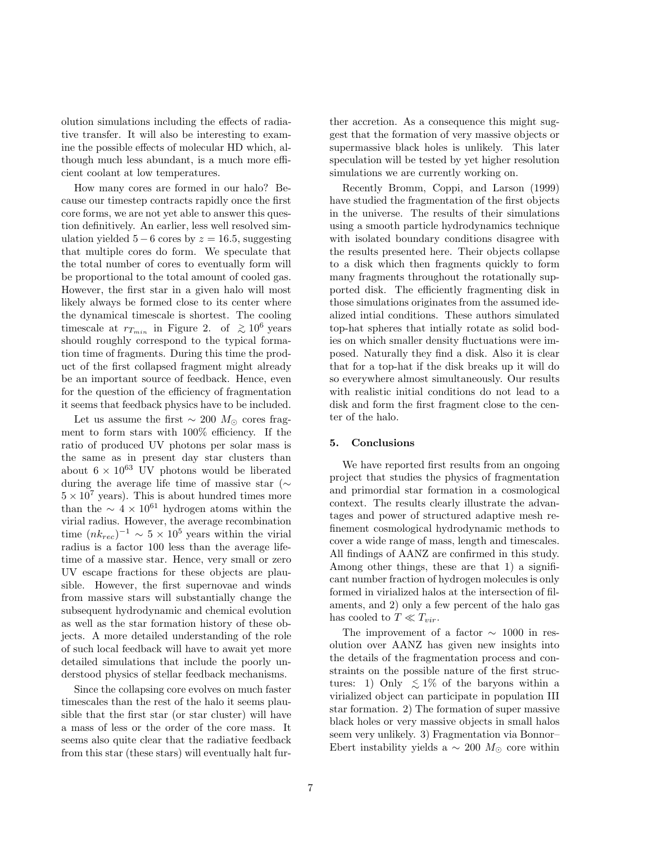olution simulations including the effects of radiative transfer. It will also be interesting to examine the possible effects of molecular HD which, although much less abundant, is a much more efficient coolant at low temperatures.

How many cores are formed in our halo? Because our timestep contracts rapidly once the first core forms, we are not yet able to answer this question definitively. An earlier, less well resolved simulation yielded  $5 - 6$  cores by  $z = 16.5$ , suggesting that multiple cores do form. We speculate that the total number of cores to eventually form will be proportional to the total amount of cooled gas. However, the first star in a given halo will most likely always be formed close to its center where the dynamical timescale is shortest. The cooling timescale at  $r_{T_{min}}$  in Figure 2. of  $\geq 10^6$  years should roughly correspond to the typical formation time of fragments. During this time the product of the first collapsed fragment might already be an important source of feedback. Hence, even for the question of the efficiency of fragmentation it seems that feedback physics have to be included.

Let us assume the first  $∼ 200 M<sub>⊙</sub>$  cores fragment to form stars with 100% efficiency. If the ratio of produced UV photons per solar mass is the same as in present day star clusters than about  $6 \times 10^{63}$  UV photons would be liberated during the average life time of massive star (∼  $5 \times 10^7$  years). This is about hundred times more than the  $\sim 4 \times 10^{61}$  hydrogen atoms within the virial radius. However, the average recombination time  $(nk_{rec})^{-1} \sim 5 \times 10^5$  years within the virial radius is a factor 100 less than the average lifetime of a massive star. Hence, very small or zero UV escape fractions for these objects are plausible. However, the first supernovae and winds from massive stars will substantially change the subsequent hydrodynamic and chemical evolution as well as the star formation history of these objects. A more detailed understanding of the role of such local feedback will have to await yet more detailed simulations that include the poorly understood physics of stellar feedback mechanisms.

Since the collapsing core evolves on much faster timescales than the rest of the halo it seems plausible that the first star (or star cluster) will have a mass of less or the order of the core mass. It seems also quite clear that the radiative feedback from this star (these stars) will eventually halt further accretion. As a consequence this might suggest that the formation of very massive objects or supermassive black holes is unlikely. This later speculation will be tested by yet higher resolution simulations we are currently working on.

Recently Bromm, Coppi, and Larson (1999) have studied the fragmentation of the first objects in the universe. The results of their simulations using a smooth particle hydrodynamics technique with isolated boundary conditions disagree with the results presented here. Their objects collapse to a disk which then fragments quickly to form many fragments throughout the rotationally supported disk. The efficiently fragmenting disk in those simulations originates from the assumed idealized intial conditions. These authors simulated top-hat spheres that intially rotate as solid bodies on which smaller density fluctuations were imposed. Naturally they find a disk. Also it is clear that for a top-hat if the disk breaks up it will do so everywhere almost simultaneously. Our results with realistic initial conditions do not lead to a disk and form the first fragment close to the center of the halo.

#### 5. Conclusions

We have reported first results from an ongoing project that studies the physics of fragmentation and primordial star formation in a cosmological context. The results clearly illustrate the advantages and power of structured adaptive mesh refinement cosmological hydrodynamic methods to cover a wide range of mass, length and timescales. All findings of AANZ are confirmed in this study. Among other things, these are that 1) a significant number fraction of hydrogen molecules is only formed in virialized halos at the intersection of filaments, and 2) only a few percent of the halo gas has cooled to  $T \ll T_{vir}$ .

The improvement of a factor  $\sim 1000$  in resolution over AANZ has given new insights into the details of the fragmentation process and constraints on the possible nature of the first structures: 1) Only  $\leq 1\%$  of the baryons within a virialized object can participate in population III star formation. 2) The formation of super massive black holes or very massive objects in small halos seem very unlikely. 3) Fragmentation via Bonnor– Ebert instability yields a  $\sim 200$   $M_{\odot}$  core within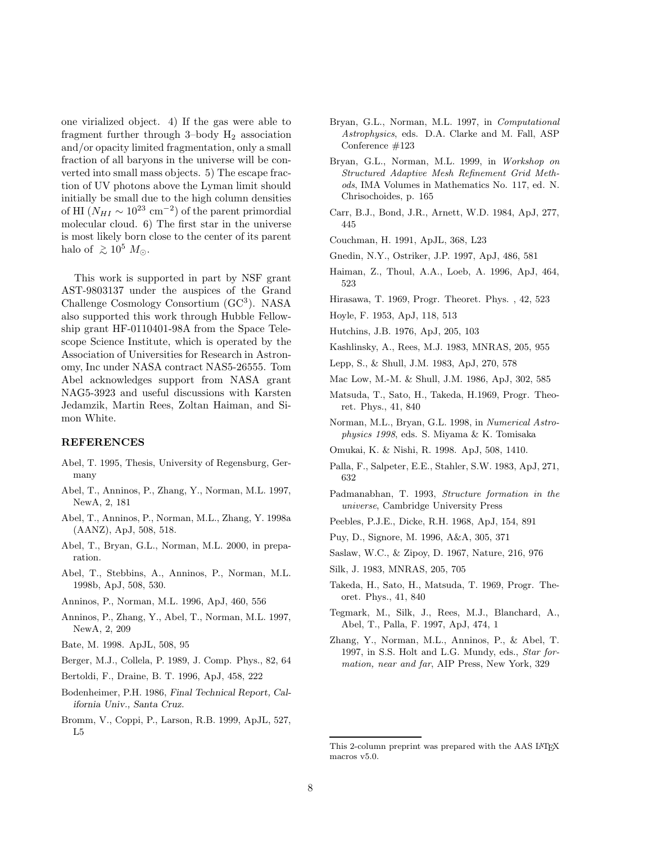one virialized object. 4) If the gas were able to fragment further through 3–body H2 association and/or opacity limited fragmentation, only a small fraction of all baryons in the universe will be converted into small mass objects. 5) The escape fraction of UV photons above the Lyman limit should initially be small due to the high column densities of HI  $(N_{HI} \sim 10^{23} \text{ cm}^{-2})$  of the parent primordial molecular cloud. 6) The first star in the universe is most likely born close to the center of its parent halo of  $\gtrsim 10^5$   $M_{\odot}$ .

This work is supported in part by NSF grant AST-9803137 under the auspices of the Grand Challenge Cosmology Consortium (GC<sup>3</sup> ). NASA also supported this work through Hubble Fellowship grant HF-0110401-98A from the Space Telescope Science Institute, which is operated by the Association of Universities for Research in Astronomy, Inc under NASA contract NAS5-26555. Tom Abel acknowledges support from NASA grant NAG5-3923 and useful discussions with Karsten Jedamzik, Martin Rees, Zoltan Haiman, and Simon White.

### REFERENCES

- Abel, T. 1995, Thesis, University of Regensburg, Germany
- Abel, T., Anninos, P., Zhang, Y., Norman, M.L. 1997, NewA, 2, 181
- Abel, T., Anninos, P., Norman, M.L., Zhang, Y. 1998a (AANZ), ApJ, 508, 518.
- Abel, T., Bryan, G.L., Norman, M.L. 2000, in preparation.
- Abel, T., Stebbins, A., Anninos, P., Norman, M.L. 1998b, ApJ, 508, 530.
- Anninos, P., Norman, M.L. 1996, ApJ, 460, 556
- Anninos, P., Zhang, Y., Abel, T., Norman, M.L. 1997, NewA, 2, 209
- Bate, M. 1998. ApJL, 508, 95
- Berger, M.J., Collela, P. 1989, J. Comp. Phys., 82, 64
- Bertoldi, F., Draine, B. T. 1996, ApJ, 458, 222
- Bodenheimer, P.H. 1986, Final Technical Report, California Univ., Santa Cruz.
- Bromm, V., Coppi, P., Larson, R.B. 1999, ApJL, 527, L5
- Bryan, G.L., Norman, M.L. 1997, in Computational Astrophysics, eds. D.A. Clarke and M. Fall, ASP Conference #123
- Bryan, G.L., Norman, M.L. 1999, in Workshop on Structured Adaptive Mesh Refinement Grid Methods, IMA Volumes in Mathematics No. 117, ed. N. Chrisochoides, p. 165
- Carr, B.J., Bond, J.R., Arnett, W.D. 1984, ApJ, 277, 445
- Couchman, H. 1991, ApJL, 368, L23
- Gnedin, N.Y., Ostriker, J.P. 1997, ApJ, 486, 581
- Haiman, Z., Thoul, A.A., Loeb, A. 1996, ApJ, 464, 523
- Hirasawa, T. 1969, Progr. Theoret. Phys. , 42, 523
- Hoyle, F. 1953, ApJ, 118, 513
- Hutchins, J.B. 1976, ApJ, 205, 103
- Kashlinsky, A., Rees, M.J. 1983, MNRAS, 205, 955
- Lepp, S., & Shull, J.M. 1983, ApJ, 270, 578
- Mac Low, M.-M. & Shull, J.M. 1986, ApJ, 302, 585
- Matsuda, T., Sato, H., Takeda, H.1969, Progr. Theoret. Phys., 41, 840
- Norman, M.L., Bryan, G.L. 1998, in Numerical Astrophysics 1998, eds. S. Miyama & K. Tomisaka
- Omukai, K. & Nishi, R. 1998. ApJ, 508, 1410.
- Palla, F., Salpeter, E.E., Stahler, S.W. 1983, ApJ, 271, 632
- Padmanabhan, T. 1993, Structure formation in the universe, Cambridge University Press
- Peebles, P.J.E., Dicke, R.H. 1968, ApJ, 154, 891
- Puy, D., Signore, M. 1996, A&A, 305, 371
- Saslaw, W.C., & Zipoy, D. 1967, Nature, 216, 976
- Silk, J. 1983, MNRAS, 205, 705
- Takeda, H., Sato, H., Matsuda, T. 1969, Progr. Theoret. Phys., 41, 840
- Tegmark, M., Silk, J., Rees, M.J., Blanchard, A., Abel, T., Palla, F. 1997, ApJ, 474, 1
- Zhang, Y., Norman, M.L., Anninos, P., & Abel, T. 1997, in S.S. Holt and L.G. Mundy, eds., Star formation, near and far, AIP Press, New York, 329

This 2-column preprint was prepared with the AAS LATEX macros v5.0.